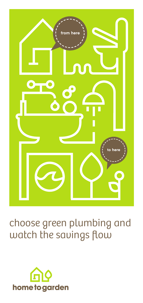

# choose green plumbing and watch the savings flow

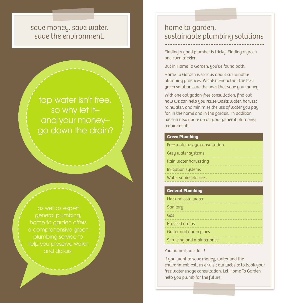### save money. save water. save the environment.

## tap water isn't free. so why let it– and your money– go down the drain?

as well as expert home to garden offers a comprehensive green and dollars.

### home to garden. sustainable plumbing solutions

Finding a good plumber is tricky. Finding a green one even trickier.

But in Home To Garden, you've found both.

Home To Garden is serious about sustainable plumbing practices. We also know that the best green solutions are the ones that save you money.

With one obligation-free consultation, find out how we can help you reuse waste water, harvest rainwater, and minimise the use of water you pay for, in the home and in the garden. In addition we can also quote on all your general plumbing requirements.

### **Green Plumbing**

| Free water usage consultation |
|-------------------------------|
| Grey water systems            |
| Rain water harvesting         |
| Irrigation systems            |
| Water saving devices          |

### **General Plumbing**

| Hot and cold water<br>---------------- |
|----------------------------------------|
| Sanitary                               |
| Gas                                    |
| <b>Blocked drains</b>                  |
| Gutter and down pipes                  |
| Servicing and maintenance              |

#### You name it, we do it!

If you want to save money, water and the environment, call us or visit our website to book your free water usage consultation. Let Home To Garden help you plumb for the future!